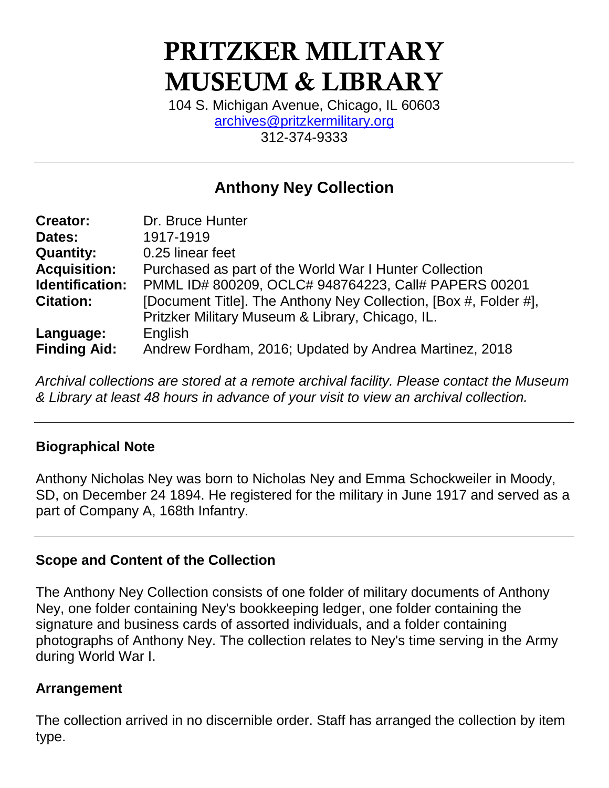# PRITZKER MILITARY MUSEUM & LIBRARY

104 S. Michigan Avenue, Chicago, IL 60603 [archives@pritzkermilitary.org](mailto:archives@pritzkermilitary.org) 312-374-9333

## **Anthony Ney Collection**

| <b>Creator:</b>     | Dr. Bruce Hunter                                                 |
|---------------------|------------------------------------------------------------------|
| Dates:              | 1917-1919                                                        |
| <b>Quantity:</b>    | 0.25 linear feet                                                 |
| <b>Acquisition:</b> | Purchased as part of the World War I Hunter Collection           |
| Identification:     | PMML ID# 800209, OCLC# 948764223, Call# PAPERS 00201             |
| <b>Citation:</b>    | [Document Title]. The Anthony Ney Collection, [Box #, Folder #], |
|                     | Pritzker Military Museum & Library, Chicago, IL.                 |
| Language:           | English                                                          |
| <b>Finding Aid:</b> | Andrew Fordham, 2016; Updated by Andrea Martinez, 2018           |

*Archival collections are stored at a remote archival facility. Please contact the Museum & Library at least 48 hours in advance of your visit to view an archival collection.*

## **Biographical Note**

Anthony Nicholas Ney was born to Nicholas Ney and Emma Schockweiler in Moody, SD, on December 24 1894. He registered for the military in June 1917 and served as a part of Company A, 168th Infantry.

## **Scope and Content of the Collection**

The Anthony Ney Collection consists of one folder of military documents of Anthony Ney, one folder containing Ney's bookkeeping ledger, one folder containing the signature and business cards of assorted individuals, and a folder containing photographs of Anthony Ney. The collection relates to Ney's time serving in the Army during World War I.

## **Arrangement**

The collection arrived in no discernible order. Staff has arranged the collection by item type.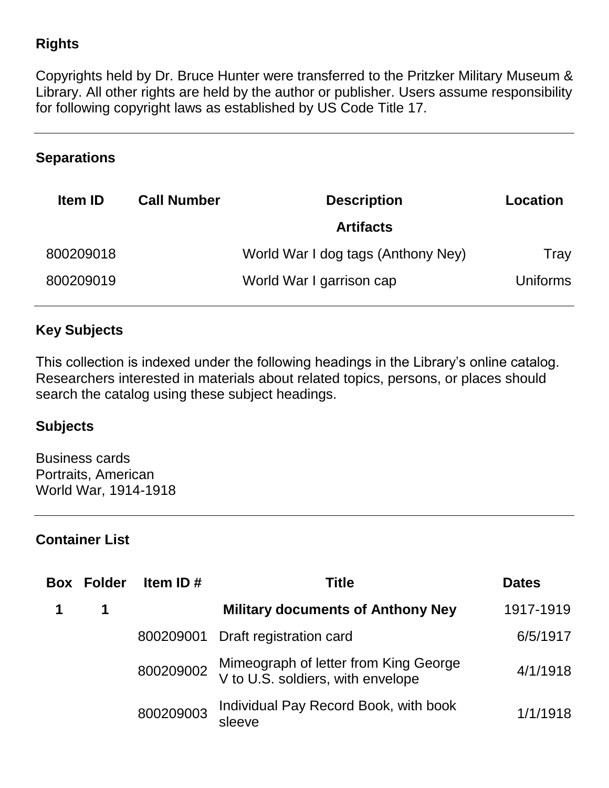## **Rights**

Copyrights held by Dr. Bruce Hunter were transferred to the Pritzker Military Museum & Library. All other rights are held by the author or publisher. Users assume responsibility for following copyright laws as established by US Code Title 17.

#### **Separations**

| <b>Item ID</b> | <b>Call Number</b> | <b>Description</b>                 | Location        |
|----------------|--------------------|------------------------------------|-----------------|
|                |                    | <b>Artifacts</b>                   |                 |
| 800209018      |                    | World War I dog tags (Anthony Ney) | Tray            |
| 800209019      |                    | World War I garrison cap           | <b>Uniforms</b> |

## **Key Subjects**

This collection is indexed under the following headings in the Library's online catalog. Researchers interested in materials about related topics, persons, or places should search the catalog using these subject headings.

## **Subjects**

Business cards Portraits, American World War, 1914-1918

## **Container List**

| <b>Box</b> | Folder      | Item ID $#$ | Title                                                                                | <b>Dates</b> |
|------------|-------------|-------------|--------------------------------------------------------------------------------------|--------------|
|            | $\mathbf 1$ |             | <b>Military documents of Anthony Ney</b>                                             | 1917-1919    |
|            |             |             | 800209001 Draft registration card                                                    | 6/5/1917     |
|            |             |             | 800209002 Mimeograph of letter from King George<br>V to U.S. soldiers, with envelope | 4/1/1918     |
|            |             | 800209003   | Individual Pay Record Book, with book<br>sleeve                                      | 1/1/1918     |